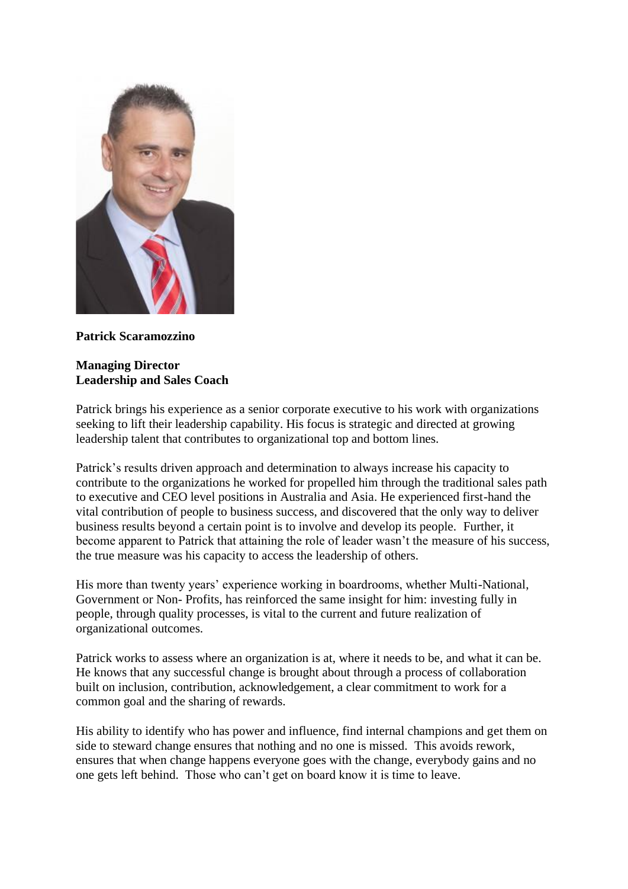

**Patrick Scaramozzino**

## **Managing Director Leadership and Sales Coach**

Patrick brings his experience as a senior corporate executive to his work with organizations seeking to lift their leadership capability. His focus is strategic and directed at growing leadership talent that contributes to organizational top and bottom lines.

Patrick's results driven approach and determination to always increase his capacity to contribute to the organizations he worked for propelled him through the traditional sales path to executive and CEO level positions in Australia and Asia. He experienced first-hand the vital contribution of people to business success, and discovered that the only way to deliver business results beyond a certain point is to involve and develop its people. Further, it become apparent to Patrick that attaining the role of leader wasn't the measure of his success, the true measure was his capacity to access the leadership of others.

His more than twenty years' experience working in boardrooms, whether Multi-National, Government or Non- Profits, has reinforced the same insight for him: investing fully in people, through quality processes, is vital to the current and future realization of organizational outcomes.

Patrick works to assess where an organization is at, where it needs to be, and what it can be. He knows that any successful change is brought about through a process of collaboration built on inclusion, contribution, acknowledgement, a clear commitment to work for a common goal and the sharing of rewards.

His ability to identify who has power and influence, find internal champions and get them on side to steward change ensures that nothing and no one is missed. This avoids rework, ensures that when change happens everyone goes with the change, everybody gains and no one gets left behind. Those who can't get on board know it is time to leave.